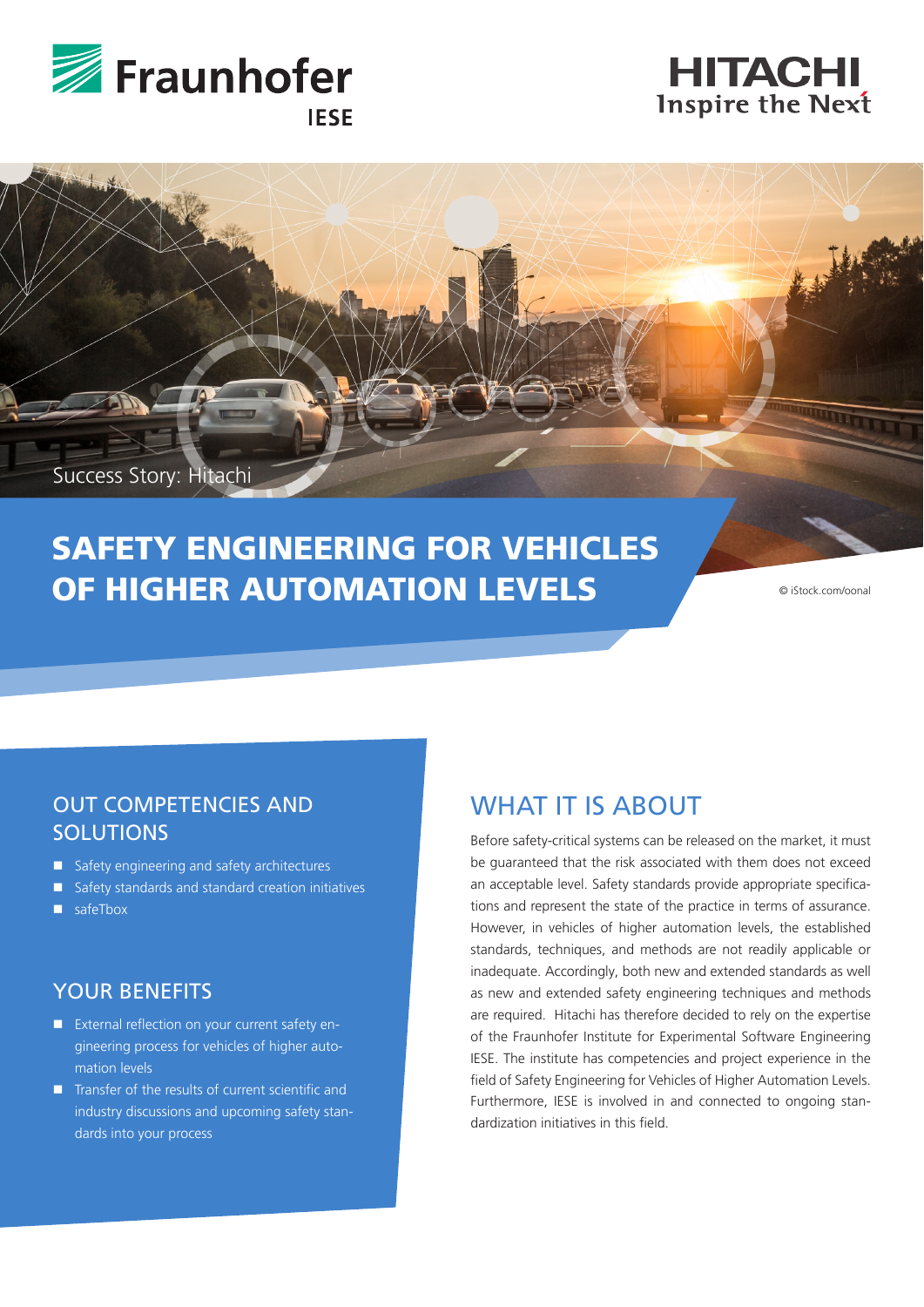





# SAFETY ENGINEERING FOR VEHICLES **OF HIGHER AUTOMATION LEVELS**

© iStock.com/oonal

#### OUT COMPETENCIES AND **SOLUTIONS**

- Safety engineering and safety architectures
- Safety standards and standard creation initiatives
- safeTbox

#### YOUR BENEFITS

- **EXternal reflection on your current safety en**gineering process for vehicles of higher automation levels
- $\blacksquare$  Transfer of the results of current scientific and industry discussions and upcoming safety standards into your process

# WHAT IT IS ABOUT

Before safety-critical systems can be released on the market, it must be guaranteed that the risk associated with them does not exceed an acceptable level. Safety standards provide appropriate specifications and represent the state of the practice in terms of assurance. However, in vehicles of higher automation levels, the established standards, techniques, and methods are not readily applicable or inadequate. Accordingly, both new and extended standards as well as new and extended safety engineering techniques and methods are required. Hitachi has therefore decided to rely on the expertise of the Fraunhofer Institute for Experimental Software Engineering IESE. The institute has competencies and project experience in the field of Safety Engineering for Vehicles of Higher Automation Levels. Furthermore, IESE is involved in and connected to ongoing standardization initiatives in this field.